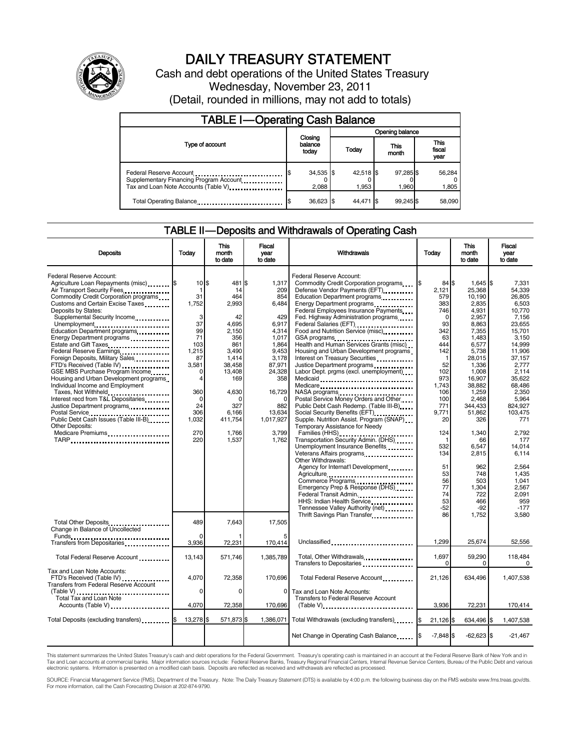

# DAILY TREASURY STATEMENT

Cash and debt operations of the United States Treasury Wednesday, November 23, 2011 (Detail, rounded in millions, may not add to totals)

| <b>TABLE I-Operating Cash Balance</b>                                                                       |                                      |                      |                 |                    |  |                               |  |                 |
|-------------------------------------------------------------------------------------------------------------|--------------------------------------|----------------------|-----------------|--------------------|--|-------------------------------|--|-----------------|
|                                                                                                             | Closing<br>balance<br>Today<br>today |                      | Opening balance |                    |  |                               |  |                 |
| Type of account                                                                                             |                                      |                      | This<br>month   |                    |  | <b>This</b><br>fiscal<br>year |  |                 |
| Federal Reserve Account<br>Supplementary Financing Program Account<br>Tax and Loan Note Accounts (Table V). |                                      | $34,535$ \$<br>2.088 |                 | 42,518 \$<br>1.953 |  | 97,285 \$<br>1.960            |  | 56,284<br>1,805 |
| Total Operating Balance                                                                                     |                                      | 36,623 \$            |                 | 44.471 \$          |  | 99.245                        |  | 58,090          |

#### TABLE II — Deposits and Withdrawals of Operating Cash

| <b>Deposits</b>                                                                                                                            | Today                         | This<br>month<br>to date          | Fiscal<br>vear<br>to date           | Withdrawals                                                                                                                                                                  | Today                                      | This<br>month<br>to date                      | Fiscal<br>vear<br>to date                      |
|--------------------------------------------------------------------------------------------------------------------------------------------|-------------------------------|-----------------------------------|-------------------------------------|------------------------------------------------------------------------------------------------------------------------------------------------------------------------------|--------------------------------------------|-----------------------------------------------|------------------------------------------------|
| Federal Reserve Account:<br>Agriculture Loan Repayments (misc) [\$<br>Air Transport Security Fees<br>Commodity Credit Corporation programs | $10$ $\frac{5}{3}$<br>1<br>31 | 481 \$<br>14<br>464               | 1,317<br>209<br>854                 | Federal Reserve Account:<br>Commodity Credit Corporation programs<br>Defense Vendor Payments (EFT)<br>Education Department programs                                          | $84$ $\overline{\text{S}}$<br>2.121<br>579 | $1,645$ \$<br>25,368<br>10.190                | 7.331<br>54.339<br>26.805                      |
| Customs and Certain Excise Taxes<br>Deposits by States:<br>Supplemental Security Income<br>Unemployment                                    | 1,752<br>3<br>37              | 2,993<br>42<br>4.695              | 6,484<br>429<br>6,917               | Energy Department programs<br><br>Federal Employees Insurance Payments<br>Fed. Highway Administration programs<br>Federal Salaries (EFT)<br>1999 - The Marine Salaries (EFT) | 383<br>746<br>$\Omega$<br>93               | 2,835<br>4,931<br>2,957<br>8,863              | 6,503<br>10.770<br>7,156<br>23.655             |
| Education Department programs<br>Energy Department programs<br>Estate and Gift Taxes<br>Federal Reserve Earnings                           | 99<br>71<br>103<br>1,215      | 2,150<br>356<br>861<br>3,490      | 4,314<br>1,017<br>1.864<br>9.453    | Food and Nutrition Service (misc)<br>GSA programs<br>Health and Human Services Grants (misc)<br>Housing and Urban Development programs                                       | 342<br>63<br>444<br>142                    | 7,355<br>1,483<br>6,577<br>5,738              | 15,701<br>3,150<br>14.999<br>11.906            |
| Foreign Deposits, Military Sales<br>FTD's Received (Table IV)<br>GSE MBS Purchase Program Income<br>Housing and Urban Development programs | 87<br>3,581<br>0<br>4         | 1,414<br>38,458<br>13,408<br>169  | 3,178<br>87,971<br>24,328<br>358    | Interest on Treasury Securities<br>Justice Department programs<br>Labor Dept. prgms (excl. unemployment)<br>Medicaid                                                         | $\mathbf{1}$<br>52<br>102<br>973           | 28,015<br>1,336<br>1,008<br>16.907            | 37,157<br>2.777<br>2.114<br>35.622             |
| Individual Income and Employment<br>Taxes, Not Withheld<br>Interest recd from T&L Depositaries<br>Justice Department programs              | 360<br>$\Omega$<br>24<br>306  | 4,630<br>$\Omega$<br>327<br>6,166 | 16,729<br>$\Omega$<br>882<br>13,634 | Medicare<br>Postal Service Money Orders and Other<br>Public Debt Cash Redemp. (Table III-B)<br>Social Security Benefits (EFT)<br>1991 - The Social Security Benefits (EFT)   | 1,743<br>106<br>100<br>771<br>9,771        | 38,882<br>1,259<br>2,468<br>344.433<br>51,862 | 68,486<br>2,350<br>5,964<br>824.927<br>103,475 |
| Public Debt Cash Issues (Table III-B)<br><b>Other Deposits:</b><br>Medicare Premiums                                                       | 1,032<br>270<br>220           | 411,754<br>1.766<br>1,537         | 1,017,927<br>3.799<br>1,762         | Supple. Nutrition Assist. Program (SNAP)<br>Temporary Assistance for Needy<br>Families (HHS)<br>Transportation Security Admin. (DHS)                                         | 20<br>124<br>-1                            | 326<br>1,340<br>66                            | 771<br>2.792<br>177                            |
|                                                                                                                                            |                               |                                   |                                     | Unemployment Insurance Benefits<br>Other Withdrawals:<br>Agency for Internat'l Development                                                                                   | 532<br>134<br>51                           | 6,547<br>2,815<br>962                         | 14.014<br>6.114<br>2,564                       |
|                                                                                                                                            |                               |                                   |                                     | Agriculture<br>Commerce Programs<br>Emergency Prep & Response (DHS)<br>Federal Transit Admin.<br>HHS: Indian Health Service                                                  | 53<br>56<br>77<br>74<br>53                 | 748<br>503<br>1.304<br>722<br>466             | 1,435<br>1.041<br>2.567<br>2,091<br>959        |
| Total Other Deposits<br>Change in Balance of Uncollected                                                                                   | 489                           | 7,643                             | 17,505                              | Tennessee Valley Authority (net)<br>Thrift Savings Plan Transfer                                                                                                             | $-52$<br>86                                | $-92$<br>1,752                                | $-177$<br>3.580                                |
|                                                                                                                                            | $\Omega$<br>3,936             | 72,231                            | 170,414                             | Unclassified                                                                                                                                                                 | 1.299                                      | 25,674                                        | 52,556                                         |
| Total Federal Reserve Account                                                                                                              | 13,143                        | 571,746                           | 1,385,789                           | Total, Other Withdrawals<br>Transfers to Depositaries                                                                                                                        | 1,697<br>$\Omega$                          | 59,290<br>$\Omega$                            | 118.484<br>0                                   |
| Tax and Loan Note Accounts:<br>FTD's Received (Table IV)<br><b>Transfers from Federal Reserve Account</b>                                  | 4,070                         | 72,358                            | 170,696                             | Total Federal Reserve Account                                                                                                                                                | 21,126                                     | 634,496                                       | 1,407,538                                      |
| (Table V)<br>Total Tax and Loan Note<br>Accounts (Table V)                                                                                 | $\Omega$<br>4,070             | $\Omega$<br>72,358                | $\Omega$<br>170,696                 | Tax and Loan Note Accounts:<br>Transfers to Federal Reserve Account<br>(Table V)                                                                                             | 3,936                                      | 72,231                                        | 170,414                                        |
| Total Deposits (excluding transfers) [100]                                                                                                 | 13,278 \$                     | 571,873 \$                        | 1.386.071                           | Total Withdrawals (excluding transfers)                                                                                                                                      | 21,126 \$                                  | 634,496 \$                                    | 1,407,538                                      |
|                                                                                                                                            |                               |                                   |                                     | Net Change in Operating Cash Balance                                                                                                                                         | $-7.848$ \$                                | $-62,623$ \$                                  | $-21,467$                                      |

This statement summarizes the United States Treasury's cash and debt operations for the Federal Government. Treasury's operating cash is maintained in an account at the Federal Reserve Bank of New York and in<br>Tax and Loan

SOURCE: Financial Management Service (FMS), Department of the Treasury. Note: The Daily Treasury Statement (DTS) is available by 4:00 p.m. the following business day on the FMS website www.fms.treas.gov/dts.<br>For more infor